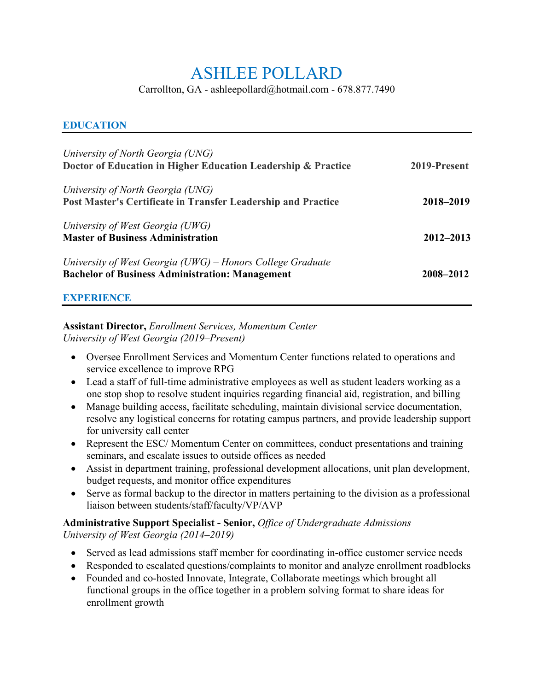# ASHLEE POLLARD

Carrollton, GA - ashleepollard@hotmail.com - 678.877.7490

### **EDUCATION**

| University of North Georgia (UNG)<br>Doctor of Education in Higher Education Leadership & Practice                   | 2019-Present  |
|----------------------------------------------------------------------------------------------------------------------|---------------|
| University of North Georgia (UNG)<br>Post Master's Certificate in Transfer Leadership and Practice                   | 2018–2019     |
| University of West Georgia (UWG)<br><b>Master of Business Administration</b>                                         | $2012 - 2013$ |
| University of West Georgia (UWG) – Honors College Graduate<br><b>Bachelor of Business Administration: Management</b> | 2008-2012     |

### **EXPERIENCE**

#### **Assistant Director,** *Enrollment Services, Momentum Center University of West Georgia (2019–Present)*

- Oversee Enrollment Services and Momentum Center functions related to operations and service excellence to improve RPG
- Lead a staff of full-time administrative employees as well as student leaders working as a one stop shop to resolve student inquiries regarding financial aid, registration, and billing
- Manage building access, facilitate scheduling, maintain divisional service documentation, resolve any logistical concerns for rotating campus partners, and provide leadership support for university call center
- Represent the ESC/Momentum Center on committees, conduct presentations and training seminars, and escalate issues to outside offices as needed
- Assist in department training, professional development allocations, unit plan development, budget requests, and monitor office expenditures
- Serve as formal backup to the director in matters pertaining to the division as a professional liaison between students/staff/faculty/VP/AVP

#### **Administrative Support Specialist - Senior,** *Office of Undergraduate Admissions University of West Georgia (2014–2019)*

- Served as lead admissions staff member for coordinating in-office customer service needs
- Responded to escalated questions/complaints to monitor and analyze enrollment roadblocks
- Founded and co-hosted Innovate, Integrate, Collaborate meetings which brought all functional groups in the office together in a problem solving format to share ideas for enrollment growth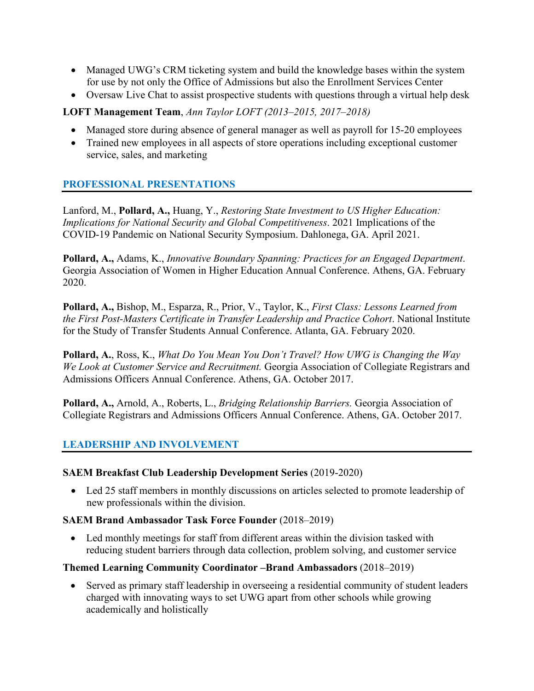- Managed UWG's CRM ticketing system and build the knowledge bases within the system for use by not only the Office of Admissions but also the Enrollment Services Center
- Oversaw Live Chat to assist prospective students with questions through a virtual help desk

## **LOFT Management Team**, *Ann Taylor LOFT (2013–2015, 2017–2018)*

- Managed store during absence of general manager as well as payroll for 15-20 employees
- Trained new employees in all aspects of store operations including exceptional customer service, sales, and marketing

## **PROFESSIONAL PRESENTATIONS**

Lanford, M., **Pollard, A.,** Huang, Y., *Restoring State Investment to US Higher Education: Implications for National Security and Global Competitiveness*. 2021 Implications of the COVID-19 Pandemic on National Security Symposium. Dahlonega, GA. April 2021.

**Pollard, A.,** Adams, K., *Innovative Boundary Spanning: Practices for an Engaged Department*. Georgia Association of Women in Higher Education Annual Conference. Athens, GA. February 2020.

**Pollard, A.,** Bishop, M., Esparza, R., Prior, V., Taylor, K., *First Class: Lessons Learned from the First Post-Masters Certificate in Transfer Leadership and Practice Cohort*. National Institute for the Study of Transfer Students Annual Conference. Atlanta, GA. February 2020.

**Pollard, A.**, Ross, K., *What Do You Mean You Don't Travel? How UWG is Changing the Way We Look at Customer Service and Recruitment.* Georgia Association of Collegiate Registrars and Admissions Officers Annual Conference. Athens, GA. October 2017.

**Pollard, A.,** Arnold, A., Roberts, L., *Bridging Relationship Barriers.* Georgia Association of Collegiate Registrars and Admissions Officers Annual Conference. Athens, GA. October 2017.

## **LEADERSHIP AND INVOLVEMENT**

#### **SAEM Breakfast Club Leadership Development Series** (2019-2020)

• Led 25 staff members in monthly discussions on articles selected to promote leadership of new professionals within the division.

#### **SAEM Brand Ambassador Task Force Founder** (2018–2019)

• Led monthly meetings for staff from different areas within the division tasked with reducing student barriers through data collection, problem solving, and customer service

## **Themed Learning Community Coordinator –Brand Ambassadors** (2018–2019)

• Served as primary staff leadership in overseeing a residential community of student leaders charged with innovating ways to set UWG apart from other schools while growing academically and holistically